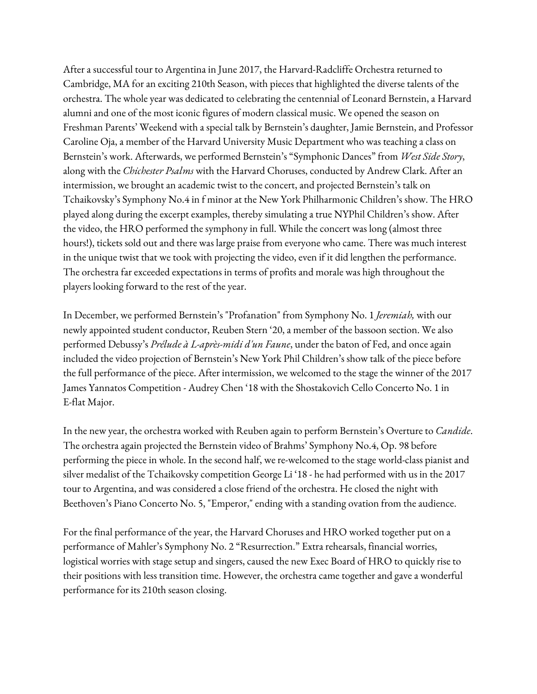After a successful tour to Argentina in June 2017, the Harvard-Radcliffe Orchestra returned to Cambridge, MA for an exciting 210th Season, with pieces that highlighted the diverse talents of the orchestra. The whole year was dedicated to celebrating the centennial of Leonard Bernstein, a Harvard alumni and one of the most iconic figures of modern classical music. We opened the season on Freshman Parents' Weekend with a special talk by Bernstein's daughter, Jamie Bernstein, and Professor Caroline Oja, a member of the Harvard University Music Department who was teaching a class on Bernstein's work. Afterwards, we performed Bernstein's "Symphonic Dances" from *West Side Story*, along with the *Chichester Psalms* with the Harvard Choruses, conducted by Andrew Clark. After an intermission, we brought an academic twist to the concert, and projected Bernstein's talk on Tchaikovsky's Symphony No.4 in f minor at the New York Philharmonic Children's show. The HRO played along during the excerpt examples, thereby simulating a true NYPhil Children's show. After the video, the HRO performed the symphony in full. While the concert was long (almost three hours!), tickets sold out and there was large praise from everyone who came. There was much interest in the unique twist that we took with projecting the video, even if it did lengthen the performance. The orchestra far exceeded expectations in terms of profits and morale was high throughout the players looking forward to the rest of the year.

In December, we performed Bernstein's "Profanation" from Symphony No. 1 *Jeremiah,* with our newly appointed student conductor, Reuben Stern '20, a member of the bassoon section. We also performed Debussy's *Prélude à L-après-midi d'un Faune*, under the baton of Fed, and once again included the video projection of Bernstein's New York Phil Children's show talk of the piece before the full performance of the piece. After intermission, we welcomed to the stage the winner of the 2017 James Yannatos Competition - Audrey Chen '18 with the Shostakovich Cello Concerto No. 1 in E-flat Major.

In the new year, the orchestra worked with Reuben again to perform Bernstein's Overture to *Candide*. The orchestra again projected the Bernstein video of Brahms' Symphony No.4, Op. 98 before performing the piece in whole. In the second half, we re-welcomed to the stage world-class pianist and silver medalist of the Tchaikovsky competition George Li '18 - he had performed with us in the 2017 tour to Argentina, and was considered a close friend of the orchestra. He closed the night with Beethoven's Piano Concerto No. 5, "Emperor," ending with a standing ovation from the audience.

For the final performance of the year, the Harvard Choruses and HRO worked together put on a performance of Mahler's Symphony No. 2 "Resurrection." Extra rehearsals, financial worries, logistical worries with stage setup and singers, caused the new Exec Board of HRO to quickly rise to their positions with less transition time. However, the orchestra came together and gave a wonderful performance for its 210th season closing.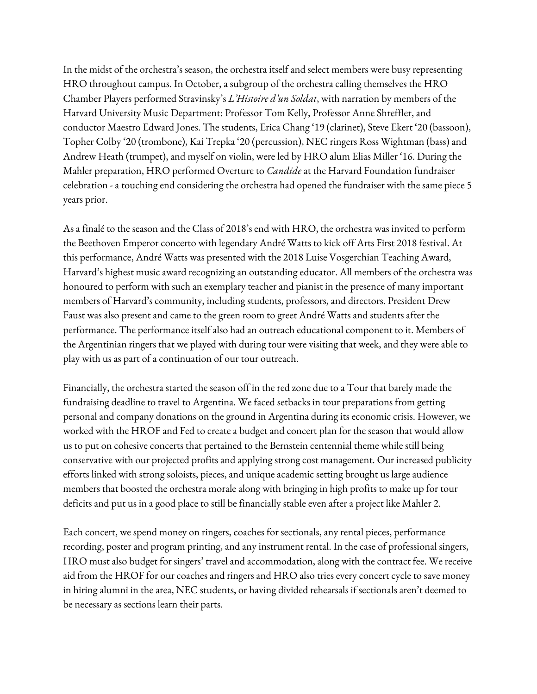In the midst of the orchestra's season, the orchestra itself and select members were busy representing HRO throughout campus. In October, a subgroup of the orchestra calling themselves the HRO Chamber Players performed Stravinsky's *L'Histoire d'un Soldat*, with narration by members of the Harvard University Music Department: Professor Tom Kelly, Professor Anne Shreffler, and conductor Maestro Edward Jones. The students, Erica Chang '19 (clarinet), Steve Ekert '20 (bassoon), Topher Colby '20 (trombone), Kai Trepka '20 (percussion), NEC ringers Ross Wightman (bass) and Andrew Heath (trumpet), and myself on violin, were led by HRO alum Elias Miller '16. During the Mahler preparation, HRO performed Overture to *Candide* at the Harvard Foundation fundraiser celebration - a touching end considering the orchestra had opened the fundraiser with the same piece 5 years prior.

As a finalé to the season and the Class of 2018's end with HRO, the orchestra was invited to perform the Beethoven Emperor concerto with legendary André Watts to kick off Arts First 2018 festival. At this performance, André Watts was presented with the 2018 Luise Vosgerchian Teaching Award, Harvard's highest music award recognizing an outstanding educator. All members of the orchestra was honoured to perform with such an exemplary teacher and pianist in the presence of many important members of Harvard's community, including students, professors, and directors. President Drew Faust was also present and came to the green room to greet André Watts and students after the performance. The performance itself also had an outreach educational component to it. Members of the Argentinian ringers that we played with during tour were visiting that week, and they were able to play with us as part of a continuation of our tour outreach.

Financially, the orchestra started the season off in the red zone due to a Tour that barely made the fundraising deadline to travel to Argentina. We faced setbacks in tour preparations from getting personal and company donations on the ground in Argentina during its economic crisis. However, we worked with the HROF and Fed to create a budget and concert plan for the season that would allow us to put on cohesive concerts that pertained to the Bernstein centennial theme while still being conservative with our projected profits and applying strong cost management. Our increased publicity efforts linked with strong soloists, pieces, and unique academic setting brought us large audience members that boosted the orchestra morale along with bringing in high profits to make up for tour deficits and put us in a good place to still be financially stable even after a project like Mahler 2.

Each concert, we spend money on ringers, coaches for sectionals, any rental pieces, performance recording, poster and program printing, and any instrument rental. In the case of professional singers, HRO must also budget for singers' travel and accommodation, along with the contract fee. We receive aid from the HROF for our coaches and ringers and HRO also tries every concert cycle to save money in hiring alumni in the area, NEC students, or having divided rehearsals if sectionals aren't deemed to be necessary as sections learn their parts.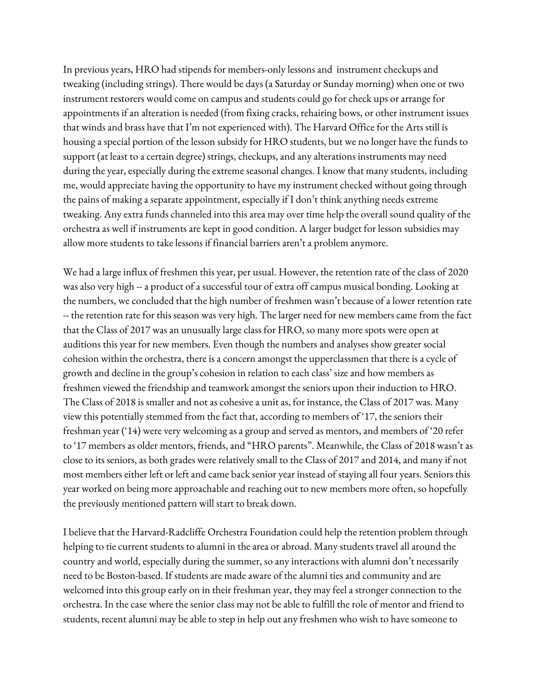In previous years, HRO had stipends for members-only lessons and instrument checkups and tweaking (including strings). There would be days (a Saturday or Sunday morning) when one or two instrument restorers would come on campus and students could go for check ups or arrange for appointments if an alteration is needed (from fixing cracks, rehairing bows, or other instrument issues that winds and brass have that I'm not experienced with). The Harvard Office for the Arts still is housing a special portion of the lesson subsidy for HRO students, but we no longer have the funds to support (at least to a certain degree) strings, checkups, and any alterations instruments may need during the year, especially during the extreme seasonal changes. I know that many students, including me, would appreciate having the opportunity to have my instrument checked without going through the pains of making a separate appointment, especially if I don't think anything needs extreme tweaking. Any extra funds channeled into this area may over time help the overall sound quality of the orchestra as well if instruments are kept in good condition. A larger budget for lesson subsidies may allow more students to take lessons if financial barriers aren't a problem anymore.

We had a large influx of freshmen this year, per usual. However, the retention rate of the class of 2020 was also very high -- a product of a successful tour of extra off campus musical bonding. Looking at the numbers, we concluded that the high number of freshmen wasn't because of a lower retention rate -- the retention rate for this season was very high. The larger need for new members came from the fact that the Class of 2017 was an unusually large class for HRO, so many more spots were open at auditions this year for new members. Even though the numbers and analyses show greater social cohesion within the orchestra, there is a concern amongst the upperclassmen that there is a cycle of growth and decline in the group's cohesion in relation to each class' size and how members as freshmen viewed the friendship and teamwork amongst the seniors upon their induction to HRO. The Class of 2018 is smaller and not as cohesive a unit as, for instance, the Class of 2017 was. Many view this potentially stemmed from the fact that, according to members of '17, the seniors their freshman year ('14) were very welcoming as a group and served as mentors, and members of '20 refer to '17 members as older mentors, friends, and "HRO parents". Meanwhile, the Class of 2018 wasn't as close to its seniors, as both grades were relatively small to the Class of 2017 and 2014, and many if not most members either left or left and came back senior year instead of staying all four years. Seniors this year worked on being more approachable and reaching out to new members more often, so hopefully the previously mentioned pattern will start to break down.

I believe that the Harvard-Radcliffe Orchestra Foundation could help the retention problem through helping to tie current students to alumni in the area or abroad. Many students travel all around the country and world, especially during the summer, so any interactions with alumni don't necessarily need to be Boston-based. If students are made aware of the alumni ties and community and are welcomed into this group early on in their freshman year, they may feel a stronger connection to the orchestra. In the case where the senior class may not be able to fulfill the role of mentor and friend to students, recent alumni may be able to step in help out any freshmen who wish to have someone to